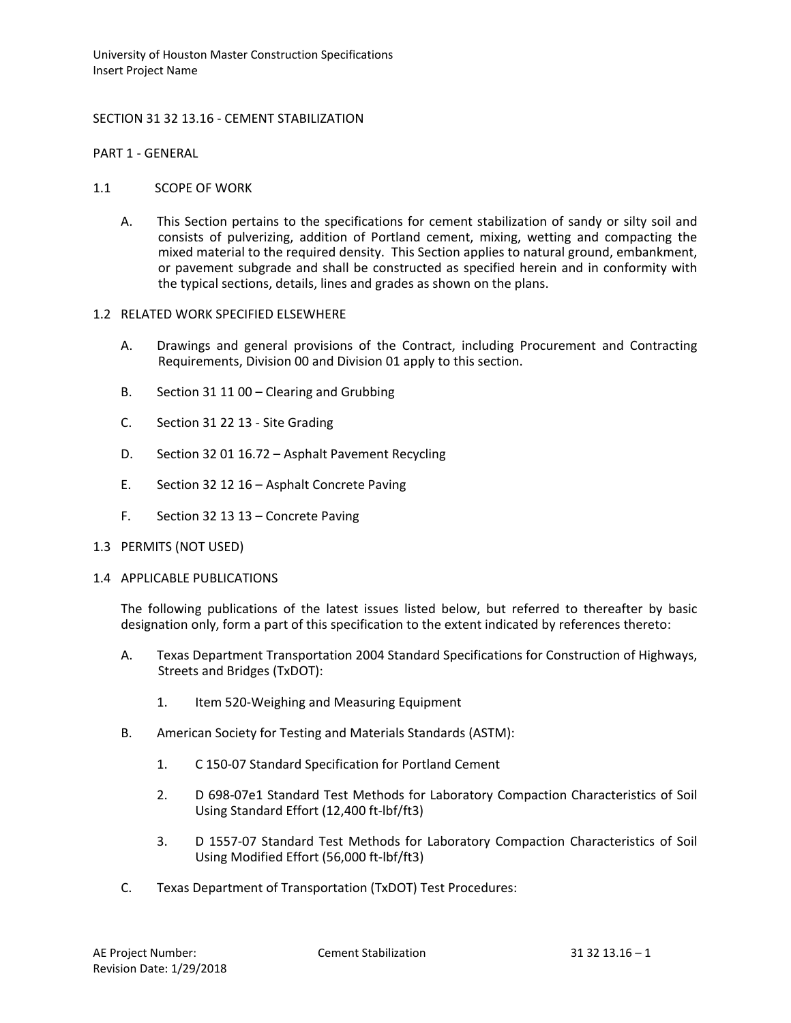University of Houston Master Construction Specifications Insert Project Name

## SECTION 31 32 13.16 - CEMENT STABILIZATION

PART 1 - GENERAL

### 1.1 SCOPE OF WORK

A. This Section pertains to the specifications for cement stabilization of sandy or silty soil and consists of pulverizing, addition of Portland cement, mixing, wetting and compacting the mixed material to the required density. This Section applies to natural ground, embankment, or pavement subgrade and shall be constructed as specified herein and in conformity with the typical sections, details, lines and grades as shown on the plans.

### 1.2 RELATED WORK SPECIFIED ELSEWHERE

- A. Drawings and general provisions of the Contract, including Procurement and Contracting Requirements, Division 00 and Division 01 apply to this section.
- B. Section 31 11 00 Clearing and Grubbing
- C. Section 31 22 13 Site Grading
- D. Section 32 01 16.72 Asphalt Pavement Recycling
- E. Section 32 12 16 Asphalt Concrete Paving
- F. Section 32 13 13 Concrete Paving

### 1.3 PERMITS (NOT USED)

### 1.4 APPLICABLE PUBLICATIONS

The following publications of the latest issues listed below, but referred to thereafter by basic designation only, form a part of this specification to the extent indicated by references thereto:

- A. Texas Department Transportation 2004 Standard Specifications for Construction of Highways, Streets and Bridges (TxDOT):
	- 1. Item 520-Weighing and Measuring Equipment
- B. American Society for Testing and Materials Standards (ASTM):
	- 1. C 150-07 Standard Specification for Portland Cement
	- 2. D 698-07e1 Standard Test Methods for Laboratory Compaction Characteristics of Soil Using Standard Effort (12,400 ft-lbf/ft3)
	- 3. D 1557-07 Standard Test Methods for Laboratory Compaction Characteristics of Soil Using Modified Effort (56,000 ft-lbf/ft3)
- C. Texas Department of Transportation (TxDOT) Test Procedures: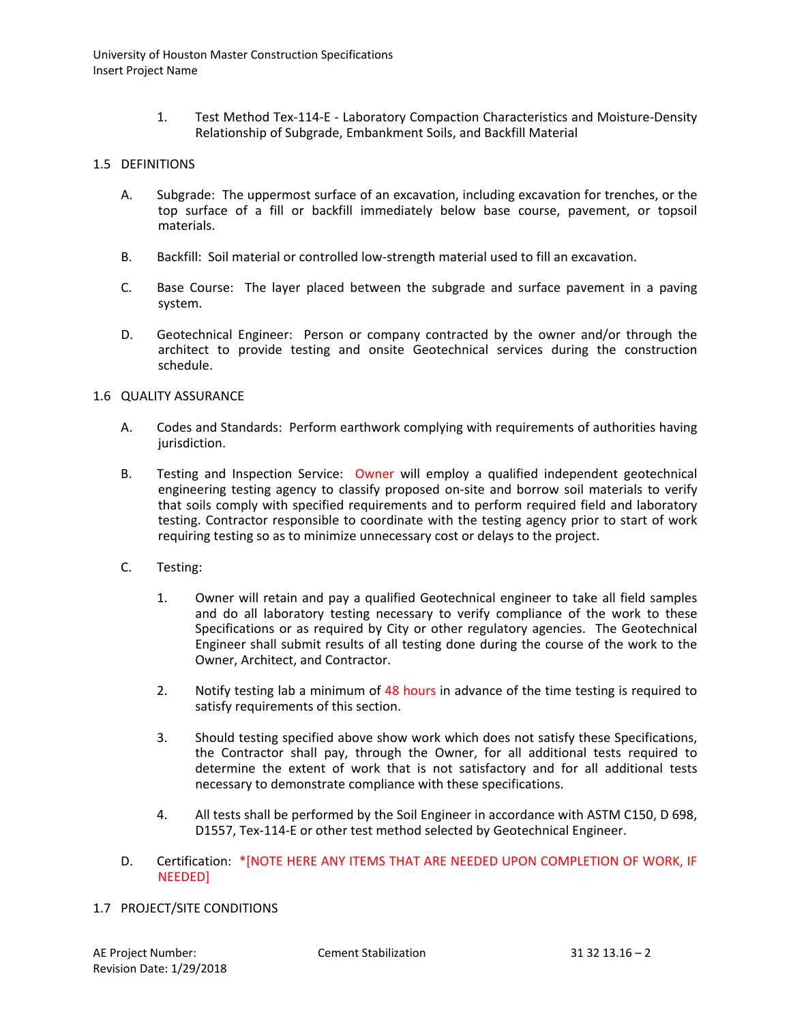1. Test Method Tex-114-E - Laboratory Compaction Characteristics and Moisture-Density Relationship of Subgrade, Embankment Soils, and Backfill Material

### 1.5 DEFINITIONS

- A. Subgrade: The uppermost surface of an excavation, including excavation for trenches, or the top surface of a fill or backfill immediately below base course, pavement, or topsoil materials.
- B. Backfill: Soil material or controlled low-strength material used to fill an excavation.
- C. Base Course: The layer placed between the subgrade and surface pavement in a paving system.
- D. Geotechnical Engineer: Person or company contracted by the owner and/or through the architect to provide testing and onsite Geotechnical services during the construction schedule.

# 1.6 QUALITY ASSURANCE

- A. Codes and Standards: Perform earthwork complying with requirements of authorities having jurisdiction.
- B. Testing and Inspection Service: Owner will employ a qualified independent geotechnical engineering testing agency to classify proposed on-site and borrow soil materials to verify that soils comply with specified requirements and to perform required field and laboratory testing. Contractor responsible to coordinate with the testing agency prior to start of work requiring testing so as to minimize unnecessary cost or delays to the project.
- C. Testing:
	- 1. Owner will retain and pay a qualified Geotechnical engineer to take all field samples and do all laboratory testing necessary to verify compliance of the work to these Specifications or as required by City or other regulatory agencies. The Geotechnical Engineer shall submit results of all testing done during the course of the work to the Owner, Architect, and Contractor.
	- 2. Notify testing lab a minimum of 48 hours in advance of the time testing is required to satisfy requirements of this section.
	- 3. Should testing specified above show work which does not satisfy these Specifications, the Contractor shall pay, through the Owner, for all additional tests required to determine the extent of work that is not satisfactory and for all additional tests necessary to demonstrate compliance with these specifications.
	- 4. All tests shall be performed by the Soil Engineer in accordance with ASTM C150, D 698, D1557, Tex-114-E or other test method selected by Geotechnical Engineer.
- D. Certification: \*[NOTE HERE ANY ITEMS THAT ARE NEEDED UPON COMPLETION OF WORK, IF NEEDED]

### 1.7 PROJECT/SITE CONDITIONS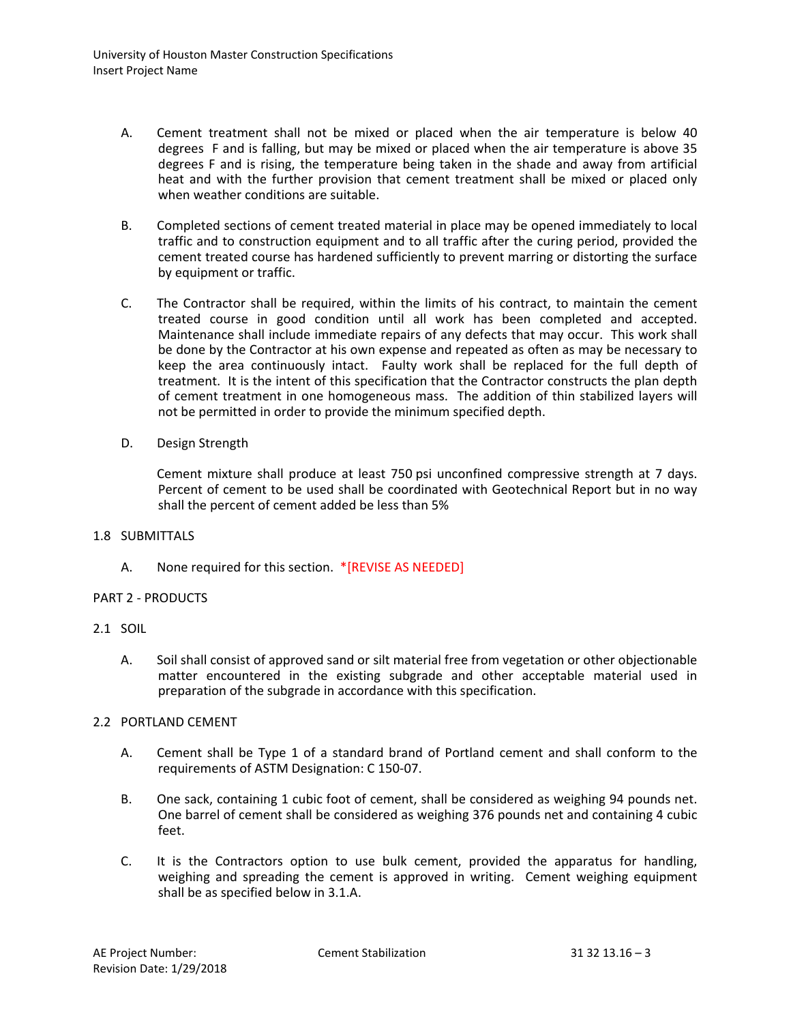- A. Cement treatment shall not be mixed or placed when the air temperature is below 40 degrees F and is falling, but may be mixed or placed when the air temperature is above 35 degrees F and is rising, the temperature being taken in the shade and away from artificial heat and with the further provision that cement treatment shall be mixed or placed only when weather conditions are suitable.
- B. Completed sections of cement treated material in place may be opened immediately to local traffic and to construction equipment and to all traffic after the curing period, provided the cement treated course has hardened sufficiently to prevent marring or distorting the surface by equipment or traffic.
- C. The Contractor shall be required, within the limits of his contract, to maintain the cement treated course in good condition until all work has been completed and accepted. Maintenance shall include immediate repairs of any defects that may occur. This work shall be done by the Contractor at his own expense and repeated as often as may be necessary to keep the area continuously intact. Faulty work shall be replaced for the full depth of treatment. It is the intent of this specification that the Contractor constructs the plan depth of cement treatment in one homogeneous mass. The addition of thin stabilized layers will not be permitted in order to provide the minimum specified depth.
- D. Design Strength

Cement mixture shall produce at least 750 psi unconfined compressive strength at 7 days. Percent of cement to be used shall be coordinated with Geotechnical Report but in no way shall the percent of cement added be less than 5%

### 1.8 SUBMITTALS

A. None required for this section. \*[REVISE AS NEEDED]

### PART 2 - PRODUCTS

### 2.1 SOIL

A. Soil shall consist of approved sand or silt material free from vegetation or other objectionable matter encountered in the existing subgrade and other acceptable material used in preparation of the subgrade in accordance with this specification.

### 2.2 PORTLAND CEMENT

- A. Cement shall be Type 1 of a standard brand of Portland cement and shall conform to the requirements of ASTM Designation: C 150-07.
- B. One sack, containing 1 cubic foot of cement, shall be considered as weighing 94 pounds net. One barrel of cement shall be considered as weighing 376 pounds net and containing 4 cubic feet.
- C. It is the Contractors option to use bulk cement, provided the apparatus for handling, weighing and spreading the cement is approved in writing. Cement weighing equipment shall be as specified below in 3.1.A.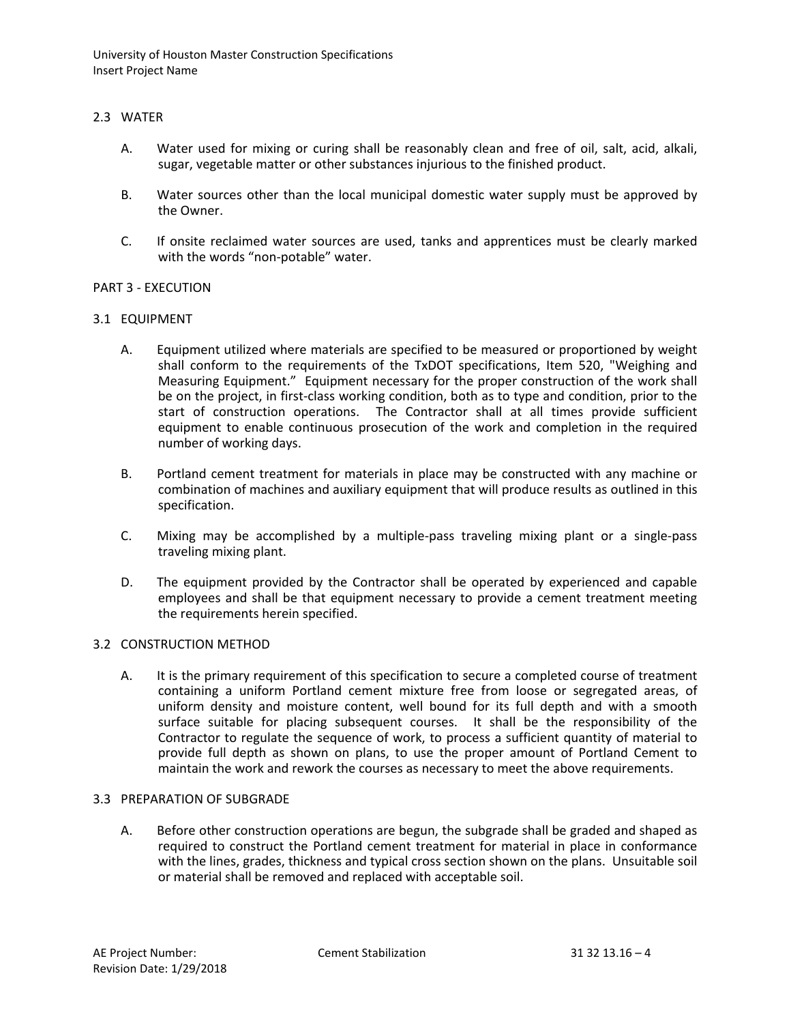University of Houston Master Construction Specifications Insert Project Name

# 2.3 WATER

- A. Water used for mixing or curing shall be reasonably clean and free of oil, salt, acid, alkali, sugar, vegetable matter or other substances injurious to the finished product.
- B. Water sources other than the local municipal domestic water supply must be approved by the Owner.
- C. If onsite reclaimed water sources are used, tanks and apprentices must be clearly marked with the words "non-potable" water.

### PART 3 - EXECUTION

### 3.1 EQUIPMENT

- A. Equipment utilized where materials are specified to be measured or proportioned by weight shall conform to the requirements of the TxDOT specifications, Item 520, "Weighing and Measuring Equipment." Equipment necessary for the proper construction of the work shall be on the project, in first-class working condition, both as to type and condition, prior to the start of construction operations. The Contractor shall at all times provide sufficient equipment to enable continuous prosecution of the work and completion in the required number of working days.
- B. Portland cement treatment for materials in place may be constructed with any machine or combination of machines and auxiliary equipment that will produce results as outlined in this specification.
- C. Mixing may be accomplished by a multiple-pass traveling mixing plant or a single-pass traveling mixing plant.
- D. The equipment provided by the Contractor shall be operated by experienced and capable employees and shall be that equipment necessary to provide a cement treatment meeting the requirements herein specified.

### 3.2 CONSTRUCTION METHOD

A. It is the primary requirement of this specification to secure a completed course of treatment containing a uniform Portland cement mixture free from loose or segregated areas, of uniform density and moisture content, well bound for its full depth and with a smooth surface suitable for placing subsequent courses. It shall be the responsibility of the Contractor to regulate the sequence of work, to process a sufficient quantity of material to provide full depth as shown on plans, to use the proper amount of Portland Cement to maintain the work and rework the courses as necessary to meet the above requirements.

### 3.3 PREPARATION OF SUBGRADE

A. Before other construction operations are begun, the subgrade shall be graded and shaped as required to construct the Portland cement treatment for material in place in conformance with the lines, grades, thickness and typical cross section shown on the plans. Unsuitable soil or material shall be removed and replaced with acceptable soil.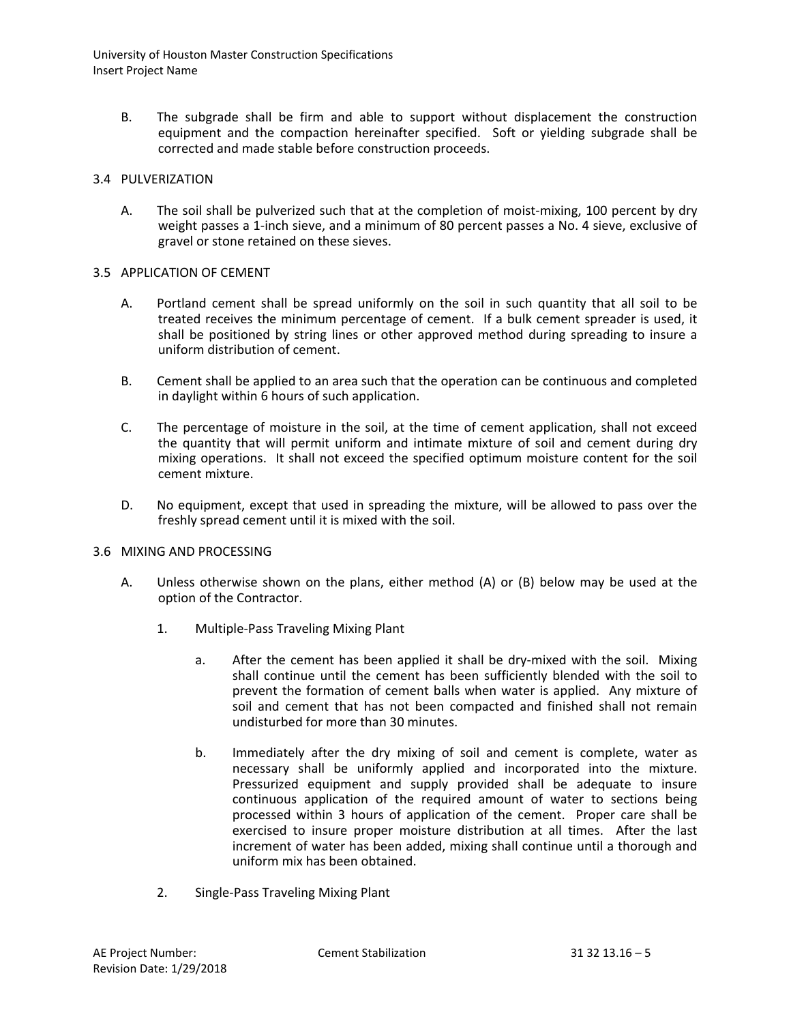University of Houston Master Construction Specifications Insert Project Name

B. The subgrade shall be firm and able to support without displacement the construction equipment and the compaction hereinafter specified. Soft or yielding subgrade shall be corrected and made stable before construction proceeds.

# 3.4 PULVERIZATION

A. The soil shall be pulverized such that at the completion of moist-mixing, 100 percent by dry weight passes a 1-inch sieve, and a minimum of 80 percent passes a No. 4 sieve, exclusive of gravel or stone retained on these sieves.

# 3.5 APPLICATION OF CEMENT

- A. Portland cement shall be spread uniformly on the soil in such quantity that all soil to be treated receives the minimum percentage of cement. If a bulk cement spreader is used, it shall be positioned by string lines or other approved method during spreading to insure a uniform distribution of cement.
- B. Cement shall be applied to an area such that the operation can be continuous and completed in daylight within 6 hours of such application.
- C. The percentage of moisture in the soil, at the time of cement application, shall not exceed the quantity that will permit uniform and intimate mixture of soil and cement during dry mixing operations. It shall not exceed the specified optimum moisture content for the soil cement mixture.
- D. No equipment, except that used in spreading the mixture, will be allowed to pass over the freshly spread cement until it is mixed with the soil.

### 3.6 MIXING AND PROCESSING

- A. Unless otherwise shown on the plans, either method (A) or (B) below may be used at the option of the Contractor.
	- 1. Multiple-Pass Traveling Mixing Plant
		- a. After the cement has been applied it shall be dry-mixed with the soil. Mixing shall continue until the cement has been sufficiently blended with the soil to prevent the formation of cement balls when water is applied. Any mixture of soil and cement that has not been compacted and finished shall not remain undisturbed for more than 30 minutes.
		- b. Immediately after the dry mixing of soil and cement is complete, water as necessary shall be uniformly applied and incorporated into the mixture. Pressurized equipment and supply provided shall be adequate to insure continuous application of the required amount of water to sections being processed within 3 hours of application of the cement. Proper care shall be exercised to insure proper moisture distribution at all times. After the last increment of water has been added, mixing shall continue until a thorough and uniform mix has been obtained.
	- 2. Single-Pass Traveling Mixing Plant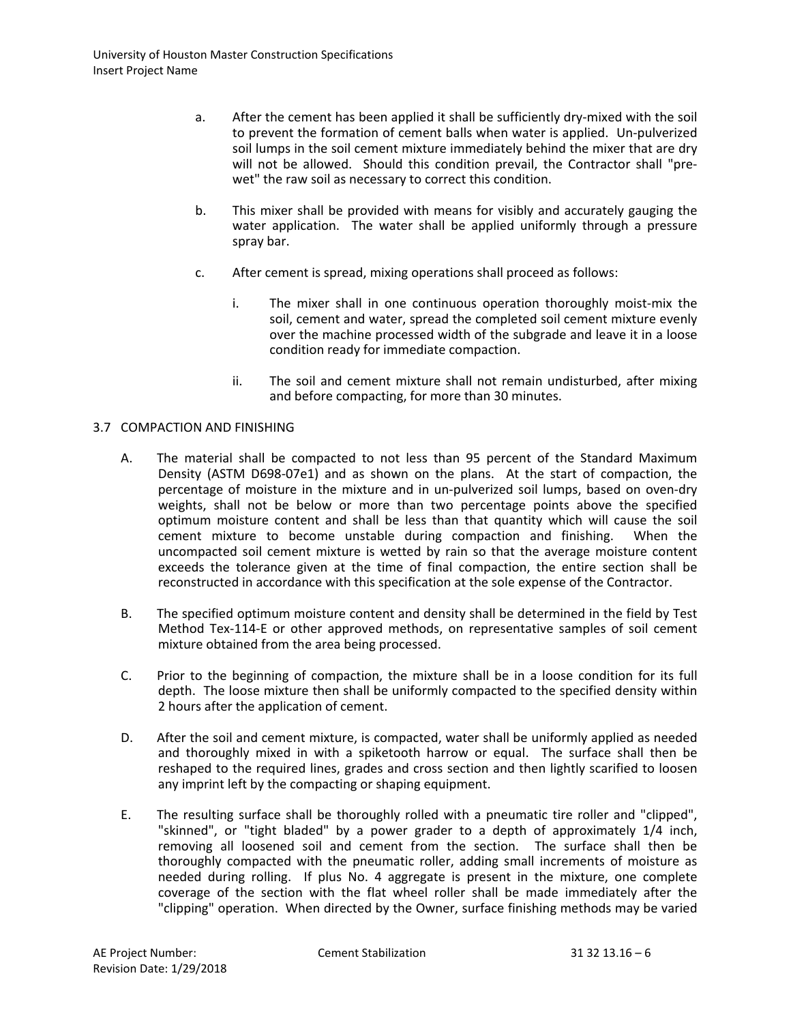- a. After the cement has been applied it shall be sufficiently dry-mixed with the soil to prevent the formation of cement balls when water is applied. Un-pulverized soil lumps in the soil cement mixture immediately behind the mixer that are dry will not be allowed. Should this condition prevail, the Contractor shall "prewet" the raw soil as necessary to correct this condition.
- b. This mixer shall be provided with means for visibly and accurately gauging the water application. The water shall be applied uniformly through a pressure spray bar.
- c. After cement is spread, mixing operations shall proceed as follows:
	- i. The mixer shall in one continuous operation thoroughly moist-mix the soil, cement and water, spread the completed soil cement mixture evenly over the machine processed width of the subgrade and leave it in a loose condition ready for immediate compaction.
	- ii. The soil and cement mixture shall not remain undisturbed, after mixing and before compacting, for more than 30 minutes.

# 3.7 COMPACTION AND FINISHING

- A. The material shall be compacted to not less than 95 percent of the Standard Maximum Density (ASTM D698-07e1) and as shown on the plans. At the start of compaction, the percentage of moisture in the mixture and in un-pulverized soil lumps, based on oven-dry weights, shall not be below or more than two percentage points above the specified optimum moisture content and shall be less than that quantity which will cause the soil cement mixture to become unstable during compaction and finishing. When the uncompacted soil cement mixture is wetted by rain so that the average moisture content exceeds the tolerance given at the time of final compaction, the entire section shall be reconstructed in accordance with this specification at the sole expense of the Contractor.
- B. The specified optimum moisture content and density shall be determined in the field by Test Method Tex-114-E or other approved methods, on representative samples of soil cement mixture obtained from the area being processed.
- C. Prior to the beginning of compaction, the mixture shall be in a loose condition for its full depth. The loose mixture then shall be uniformly compacted to the specified density within 2 hours after the application of cement.
- D. After the soil and cement mixture, is compacted, water shall be uniformly applied as needed and thoroughly mixed in with a spiketooth harrow or equal. The surface shall then be reshaped to the required lines, grades and cross section and then lightly scarified to loosen any imprint left by the compacting or shaping equipment.
- E. The resulting surface shall be thoroughly rolled with a pneumatic tire roller and "clipped", "skinned", or "tight bladed" by a power grader to a depth of approximately 1/4 inch, removing all loosened soil and cement from the section. The surface shall then be thoroughly compacted with the pneumatic roller, adding small increments of moisture as needed during rolling. If plus No. 4 aggregate is present in the mixture, one complete coverage of the section with the flat wheel roller shall be made immediately after the "clipping" operation. When directed by the Owner, surface finishing methods may be varied